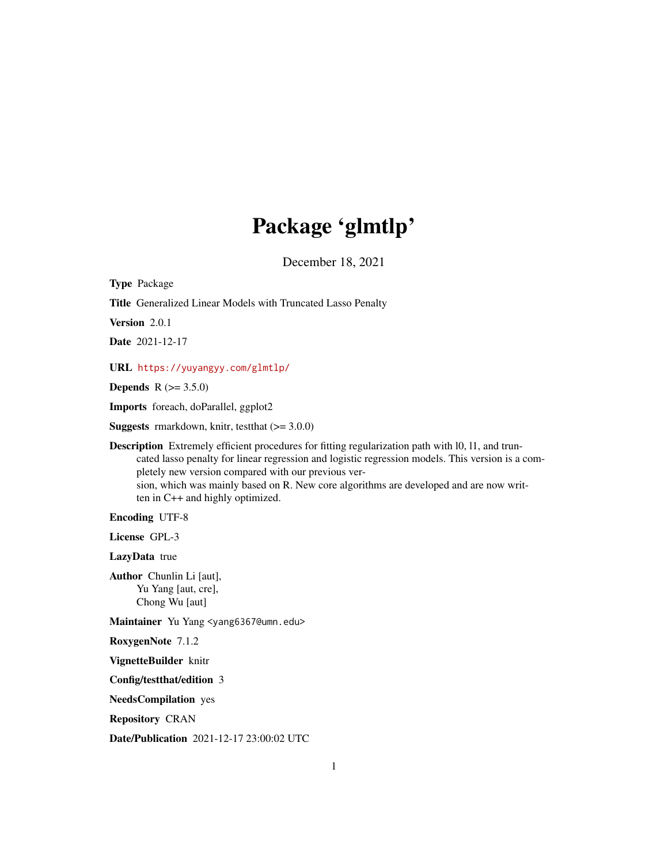# Package 'glmtlp'

December 18, 2021

Type Package

Title Generalized Linear Models with Truncated Lasso Penalty

Version 2.0.1

Date 2021-12-17

URL <https://yuyangyy.com/glmtlp/>

**Depends**  $R (= 3.5.0)$ 

Imports foreach, doParallel, ggplot2

**Suggests** rmarkdown, knitr, test that  $(>= 3.0.0)$ 

Description Extremely efficient procedures for fitting regularization path with l0, l1, and truncated lasso penalty for linear regression and logistic regression models. This version is a completely new version compared with our previous version, which was mainly based on R. New core algorithms are developed and are now written in C++ and highly optimized.

Encoding UTF-8

License GPL-3

LazyData true

Author Chunlin Li [aut], Yu Yang [aut, cre], Chong Wu [aut]

Maintainer Yu Yang <yang6367@umn.edu>

RoxygenNote 7.1.2

VignetteBuilder knitr

Config/testthat/edition 3

NeedsCompilation yes

Repository CRAN

Date/Publication 2021-12-17 23:00:02 UTC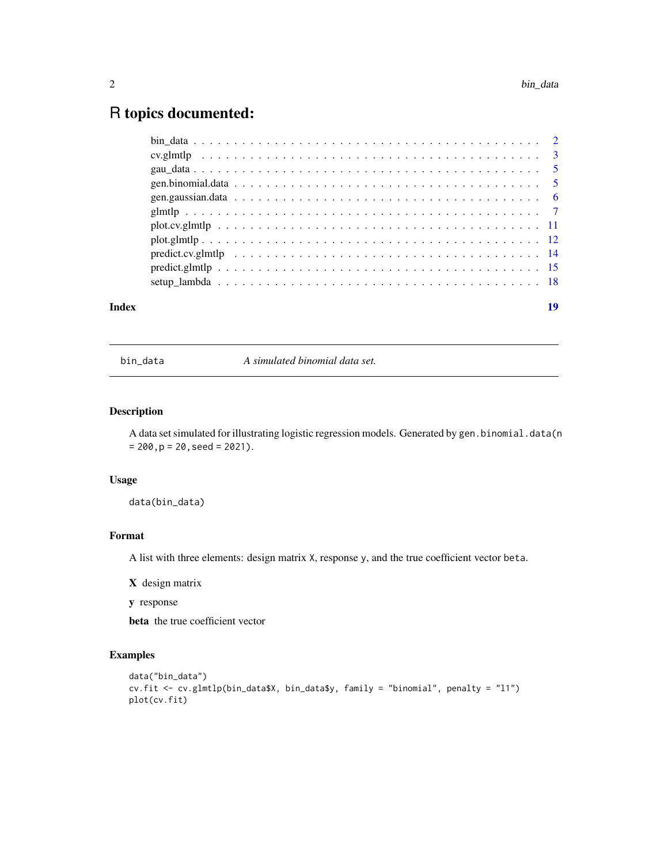# <span id="page-1-0"></span>R topics documented:

| Index | 19 |
|-------|----|
|       |    |
|       |    |
|       |    |
|       |    |
|       |    |
|       |    |
|       |    |
|       |    |
|       |    |
|       |    |
|       |    |

bin\_data *A simulated binomial data set.*

# Description

A data set simulated for illustrating logistic regression models. Generated by gen.binomial.data(n  $= 200, p = 20, seed = 2021$ .

# Usage

data(bin\_data)

#### Format

A list with three elements: design matrix X, response y, and the true coefficient vector beta.

X design matrix

y response

beta the true coefficient vector

```
data("bin_data")
cv.fit <- cv.glmtlp(bin_data$X, bin_data$y, family = "binomial", penalty = "l1")
plot(cv.fit)
```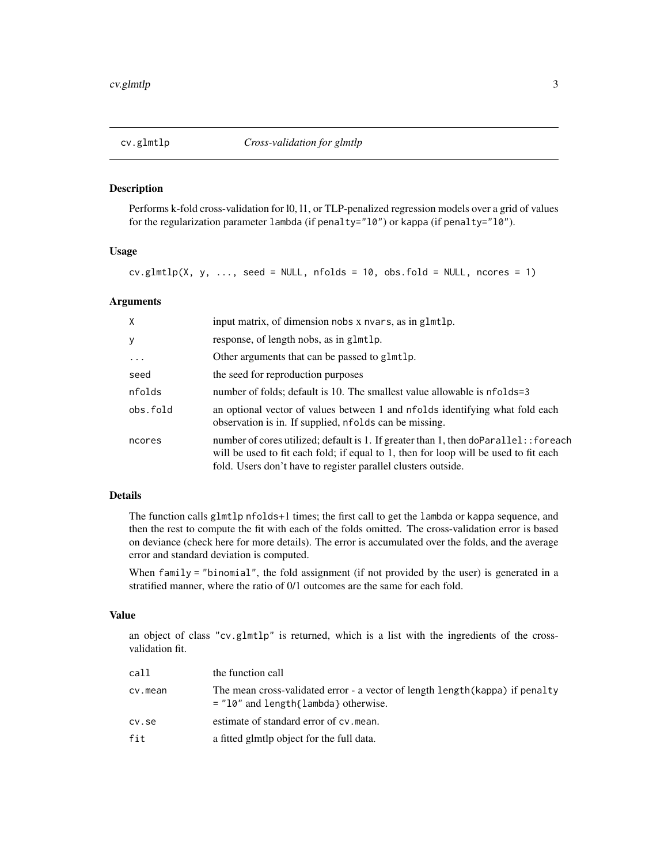<span id="page-2-0"></span>

#### Description

Performs k-fold cross-validation for l0, l1, or TLP-penalized regression models over a grid of values for the regularization parameter lambda (if penalty="l0") or kappa (if penalty="l0").

### Usage

 $cv.glmtlp(X, y, ..., seed = NULL, n folds = 10, obs.fold = NULL, ncores = 1)$ 

#### Arguments

| X         | input matrix, of dimension nobs x nvars, as in glmtlp.                                                                                                                                                                                         |
|-----------|------------------------------------------------------------------------------------------------------------------------------------------------------------------------------------------------------------------------------------------------|
| У         | response, of length nobs, as in glmtlp.                                                                                                                                                                                                        |
| $\ddotsc$ | Other arguments that can be passed to glmtlp.                                                                                                                                                                                                  |
| seed      | the seed for reproduction purposes                                                                                                                                                                                                             |
| nfolds    | number of folds; default is 10. The smallest value allowable is nfolds=3                                                                                                                                                                       |
| obs.fold  | an optional vector of values between 1 and nfolds identifying what fold each<br>observation is in. If supplied, nfolds can be missing.                                                                                                         |
| ncores    | number of cores utilized; default is 1. If greater than 1, then doParallel: : foreach<br>will be used to fit each fold; if equal to 1, then for loop will be used to fit each<br>fold. Users don't have to register parallel clusters outside. |

#### Details

The function calls glmtlp nfolds+1 times; the first call to get the lambda or kappa sequence, and then the rest to compute the fit with each of the folds omitted. The cross-validation error is based on deviance (check here for more details). The error is accumulated over the folds, and the average error and standard deviation is computed.

When family = "binomial", the fold assignment (if not provided by the user) is generated in a stratified manner, where the ratio of 0/1 outcomes are the same for each fold.

#### Value

an object of class "cv.glmtlp" is returned, which is a list with the ingredients of the crossvalidation fit.

| call    | the function call                                                                                                       |
|---------|-------------------------------------------------------------------------------------------------------------------------|
| cv.mean | The mean cross-validated error - a vector of length length (kappa) if penalty<br>$=$ "10" and length{lambda} otherwise. |
| cv.se   | estimate of standard error of cv. mean.                                                                                 |
| fit     | a fitted glmtlp object for the full data.                                                                               |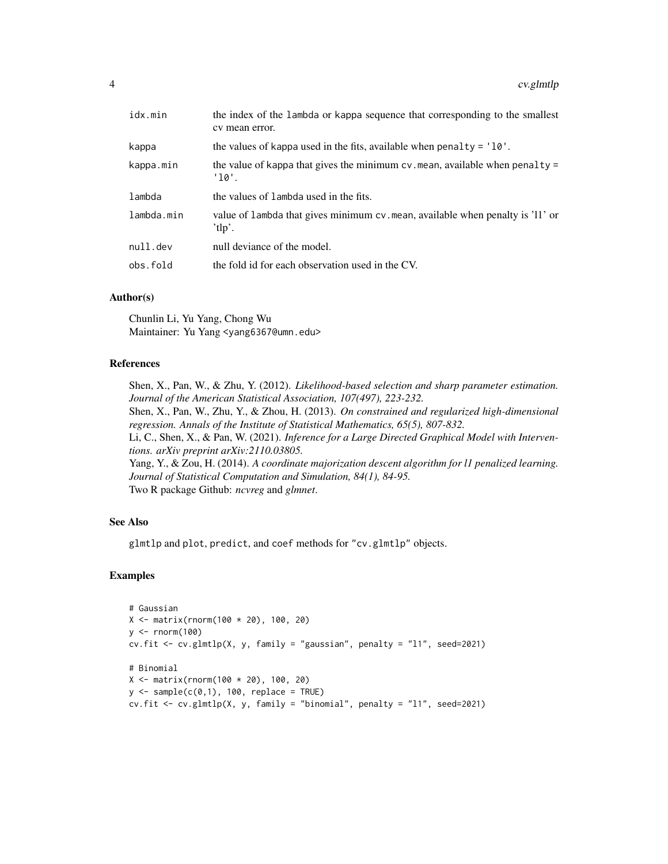| idx.min    | the index of the lambda or kappa sequence that corresponding to the smallest<br>cy mean error. |
|------------|------------------------------------------------------------------------------------------------|
| kappa      | the values of kappa used in the fits, available when penalty = $'10'$ .                        |
| kappa.min  | the value of kappa that gives the minimum $cv$ mean, available when penalty =<br>'10'.         |
| lambda     | the values of lambda used in the fits.                                                         |
| lambda.min | value of lambda that gives minimum cv.mean, available when penalty is '11' or<br>'tlp'.        |
| null.dev   | null deviance of the model.                                                                    |
| obs.fold   | the fold id for each observation used in the CV.                                               |

#### Author(s)

Chunlin Li, Yu Yang, Chong Wu Maintainer: Yu Yang <yang6367@umn.edu>

#### References

Shen, X., Pan, W., & Zhu, Y. (2012). *Likelihood-based selection and sharp parameter estimation. Journal of the American Statistical Association, 107(497), 223-232.* Shen, X., Pan, W., Zhu, Y., & Zhou, H. (2013). *On constrained and regularized high-dimensional regression. Annals of the Institute of Statistical Mathematics, 65(5), 807-832.* Li, C., Shen, X., & Pan, W. (2021). *Inference for a Large Directed Graphical Model with Interventions. arXiv preprint arXiv:2110.03805.* Yang, Y., & Zou, H. (2014). *A coordinate majorization descent algorithm for l1 penalized learning. Journal of Statistical Computation and Simulation, 84(1), 84-95.* Two R package Github: *ncvreg* and *glmnet*.

# See Also

glmtlp and plot, predict, and coef methods for "cv.glmtlp" objects.

```
# Gaussian
X <- matrix(rnorm(100 * 20), 100, 20)
y \le - rnorm(100)cv.fit <- cv.glmtlp(X, y, family = "gaussian", penalty = "l1", seed=2021)
# Binomial
X \le - matrix(rnorm(100 * 20), 100, 20)
y \le - sample(c(0,1), 100, replace = TRUE)
cv.fit <- cv.glmtlp(X, y, family = "binomial", penalty = "l1", seed=2021)
```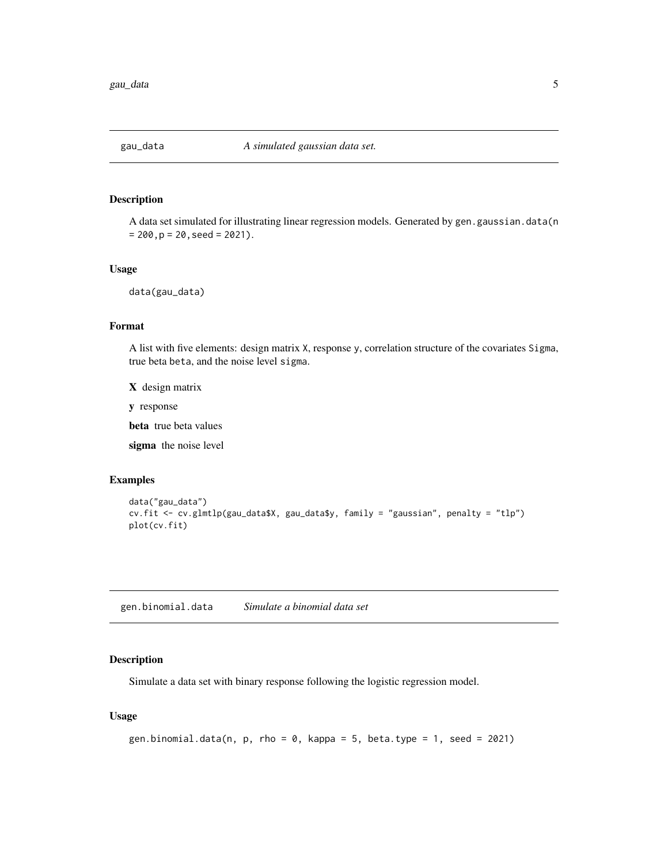<span id="page-4-0"></span>

#### Description

A data set simulated for illustrating linear regression models. Generated by gen.gaussian.data(n  $= 200$ ,  $p = 20$ , seed = 2021).

#### Usage

data(gau\_data)

#### Format

A list with five elements: design matrix X, response y, correlation structure of the covariates Sigma, true beta beta, and the noise level sigma.

X design matrix

y response

beta true beta values

sigma the noise level

# Examples

```
data("gau_data")
cv.fit <- cv.glmtlp(gau_data$X, gau_data$y, family = "gaussian", penalty = "tlp")
plot(cv.fit)
```
gen.binomial.data *Simulate a binomial data set*

#### Description

Simulate a data set with binary response following the logistic regression model.

#### Usage

```
gen.binomial.data(n, p, rho = 0, kappa = 5, beta.type = 1, seed = 2021)
```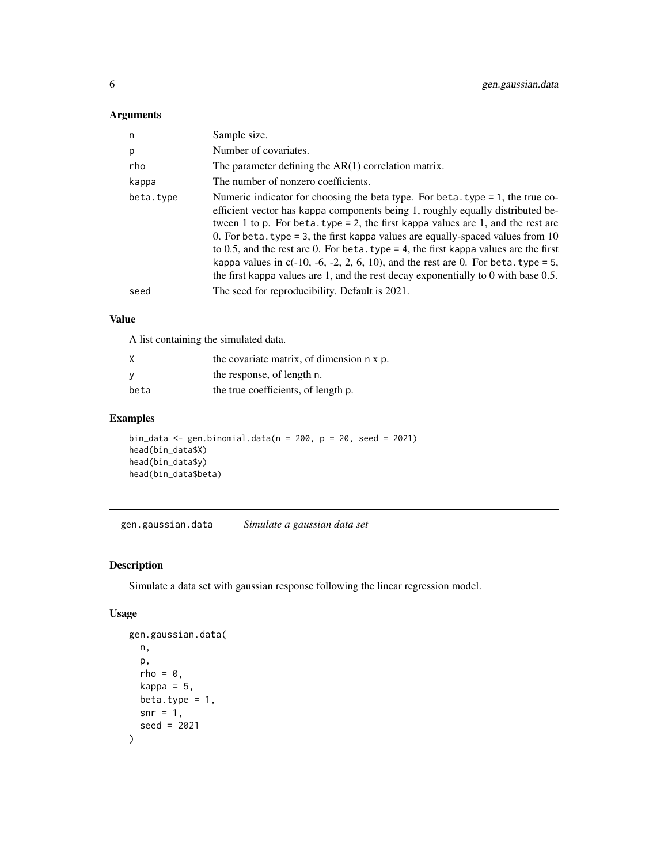# <span id="page-5-0"></span>Arguments

| $\mathsf{n}$ | Sample size.                                                                                                                                                                                                                                                                                                                                                                                                                                                                                                                                                                                                       |
|--------------|--------------------------------------------------------------------------------------------------------------------------------------------------------------------------------------------------------------------------------------------------------------------------------------------------------------------------------------------------------------------------------------------------------------------------------------------------------------------------------------------------------------------------------------------------------------------------------------------------------------------|
| p            | Number of covariates.                                                                                                                                                                                                                                                                                                                                                                                                                                                                                                                                                                                              |
| rho          | The parameter defining the $AR(1)$ correlation matrix.                                                                                                                                                                                                                                                                                                                                                                                                                                                                                                                                                             |
| kappa        | The number of nonzero coefficients.                                                                                                                                                                                                                                                                                                                                                                                                                                                                                                                                                                                |
| beta.type    | Numeric indicator for choosing the beta type. For beta.type $= 1$ , the true co-<br>efficient vector has kappa components being 1, roughly equally distributed be-<br>tween 1 to p. For beta. type = 2, the first kappa values are 1, and the rest are<br>0. For beta. type = 3, the first kappa values are equally-spaced values from 10<br>to 0.5, and the rest are 0. For beta. type = 4, the first kappa values are the first<br>kappa values in $c(-10, -6, -2, 2, 6, 10)$ , and the rest are 0. For beta. type = 5,<br>the first kappa values are 1, and the rest decay exponentially to 0 with base $0.5$ . |
| seed         | The seed for reproducibility. Default is 2021.                                                                                                                                                                                                                                                                                                                                                                                                                                                                                                                                                                     |

# Value

A list containing the simulated data.

| Χ    | the covariate matrix, of dimension n x p. |
|------|-------------------------------------------|
| У    | the response, of length n.                |
| beta | the true coefficients, of length p.       |

# Examples

```
bin_data <- gen.binomial.data(n = 200, p = 20, seed = 2021)
head(bin_data$X)
head(bin_data$y)
head(bin_data$beta)
```
gen.gaussian.data *Simulate a gaussian data set*

# Description

Simulate a data set with gaussian response following the linear regression model.

# Usage

```
gen.gaussian.data(
 n,
 p,
 rho = 0,
 kappa = 5,
 beta.type = 1,
 snr = 1,
  seed = 2021
)
```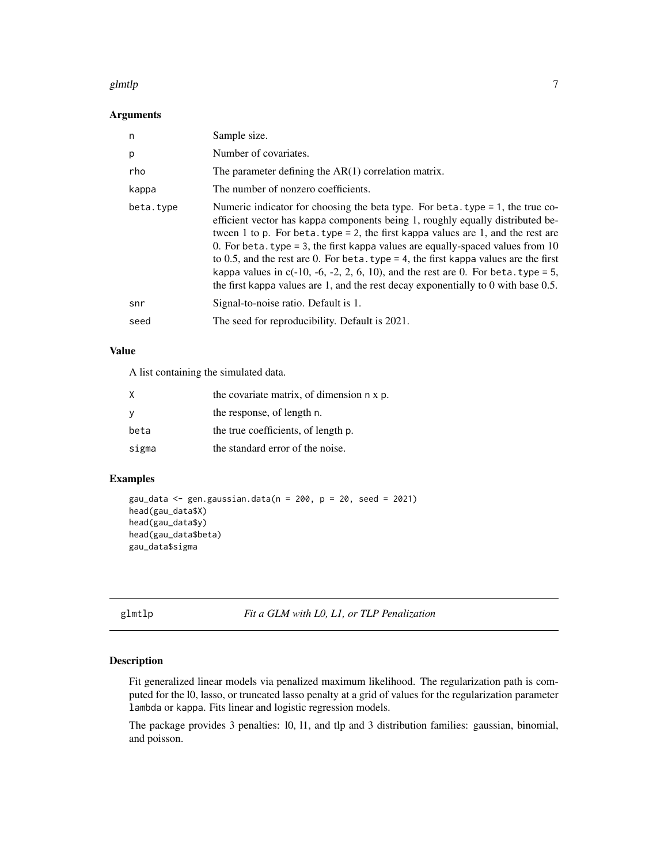#### <span id="page-6-0"></span>glmtlp **2006** 30 and 2006 30 and 2007 30 and 2007 30 and 2007 30 and 2007 30 and 30 and 30 and 30 and 30 and 30 and 30 and 30 and 30 and 30 and 30 and 30 and 30 and 30 and 30 and 30 and 30 and 30 and 30 and 30 and 30 and 3

#### Arguments

| n         | Sample size.                                                                                                                                                                                                                                                                                                                                                                                                                                                                                                                                                                                                         |
|-----------|----------------------------------------------------------------------------------------------------------------------------------------------------------------------------------------------------------------------------------------------------------------------------------------------------------------------------------------------------------------------------------------------------------------------------------------------------------------------------------------------------------------------------------------------------------------------------------------------------------------------|
| p         | Number of covariates.                                                                                                                                                                                                                                                                                                                                                                                                                                                                                                                                                                                                |
| rho       | The parameter defining the $AR(1)$ correlation matrix.                                                                                                                                                                                                                                                                                                                                                                                                                                                                                                                                                               |
| kappa     | The number of nonzero coefficients.                                                                                                                                                                                                                                                                                                                                                                                                                                                                                                                                                                                  |
| beta.type | Numeric indicator for choosing the beta type. For beta type $= 1$ , the true co-<br>efficient vector has kappa components being 1, roughly equally distributed be-<br>tween 1 to p. For beta. type = 2, the first kappa values are 1, and the rest are<br>0. For beta. type = 3, the first kappa values are equally-spaced values from 10<br>to 0.5, and the rest are 0. For beta. type = 4, the first kappa values are the first<br>kappa values in $c(-10, -6, -2, 2, 6, 10)$ , and the rest are 0. For beta. type = 5,<br>the first kappa values are 1, and the rest decay exponentially to $0$ with base $0.5$ . |
| snr       | Signal-to-noise ratio. Default is 1.                                                                                                                                                                                                                                                                                                                                                                                                                                                                                                                                                                                 |
| seed      | The seed for reproducibility. Default is 2021.                                                                                                                                                                                                                                                                                                                                                                                                                                                                                                                                                                       |

#### Value

A list containing the simulated data.

| X            | the covariate matrix, of dimension n x p. |
|--------------|-------------------------------------------|
| <sub>y</sub> | the response, of length n.                |
| beta         | the true coefficients, of length p.       |
| sigma        | the standard error of the noise.          |

#### Examples

```
gau_data <- gen.gaussian.data(n = 200, p = 20, seed = 2021)
head(gau_data$X)
head(gau_data$y)
head(gau_data$beta)
gau_data$sigma
```
glmtlp *Fit a GLM with L0, L1, or TLP Penalization*

#### Description

Fit generalized linear models via penalized maximum likelihood. The regularization path is computed for the l0, lasso, or truncated lasso penalty at a grid of values for the regularization parameter lambda or kappa. Fits linear and logistic regression models.

The package provides 3 penalties: l0, l1, and tlp and 3 distribution families: gaussian, binomial, and poisson.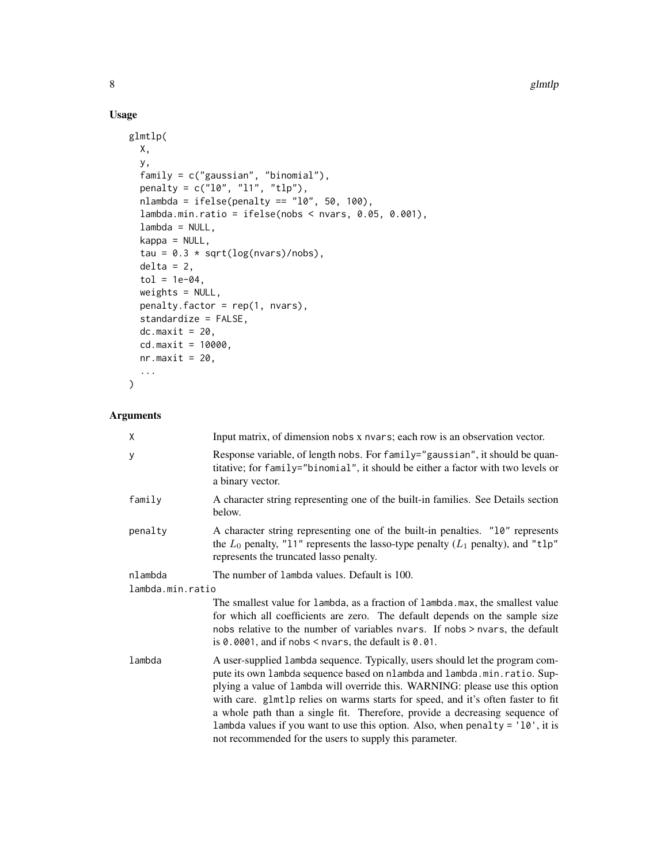# Usage

```
glmtlp(
 X,
 y,
  family = c("gaussian", "binomial"),
 penalty = c("l0", "l1", "tlp"),
 nlambda = ifelse(penalty == "10", 50, 100),lambda.min.ratio = ifelse(nobs < nvars, 0.05, 0.001),
  lambda = NULL,
 kappa = NULL,
  tau = 0.3 * sqrt(log(nvars)/nobs),
 delta = 2,
  tol = 1e-04,weights = NULL,
 penalty.factor = rep(1, nvars),
  standardize = FALSE,
 dc.maxit = 20,
  cd.maxit = 10000,nr.maxit = 20,
  ...
)
```

| X                | Input matrix, of dimension nobs x nvars; each row is an observation vector.                                                                                                                                                                                                                                                                                                                                                                                                                                                                                   |  |
|------------------|---------------------------------------------------------------------------------------------------------------------------------------------------------------------------------------------------------------------------------------------------------------------------------------------------------------------------------------------------------------------------------------------------------------------------------------------------------------------------------------------------------------------------------------------------------------|--|
| y                | Response variable, of length nobs. For family="gaussian", it should be quan-<br>titative; for family="binomial", it should be either a factor with two levels or<br>a binary vector.                                                                                                                                                                                                                                                                                                                                                                          |  |
| family           | A character string representing one of the built-in families. See Details section<br>below.                                                                                                                                                                                                                                                                                                                                                                                                                                                                   |  |
| penalty          | A character string representing one of the built-in penalties. "10" represents<br>the $L_0$ penalty, "11" represents the lasso-type penalty ( $L_1$ penalty), and "t1p"<br>represents the truncated lasso penalty.                                                                                                                                                                                                                                                                                                                                            |  |
| nlambda          | The number of lambda values. Default is 100.                                                                                                                                                                                                                                                                                                                                                                                                                                                                                                                  |  |
| lambda.min.ratio |                                                                                                                                                                                                                                                                                                                                                                                                                                                                                                                                                               |  |
|                  | The smallest value for lambda, as a fraction of lambda. max, the smallest value<br>for which all coefficients are zero. The default depends on the sample size<br>nobs relative to the number of variables nyars. If nobs > nyars, the default<br>is $0.0001$ , and if nobs $\leq$ nvars, the default is $0.01$ .                                                                                                                                                                                                                                             |  |
| lambda           | A user-supplied 1 ambda sequence. Typically, users should let the program com-<br>pute its own lambda sequence based on nlambda and lambda.min.ratio. Sup-<br>plying a value of lambda will override this. WARNING: please use this option<br>with care. glmtlp relies on warms starts for speed, and it's often faster to fit<br>a whole path than a single fit. Therefore, provide a decreasing sequence of<br>lambda values if you want to use this option. Also, when penalty = $'10'$ , it is<br>not recommended for the users to supply this parameter. |  |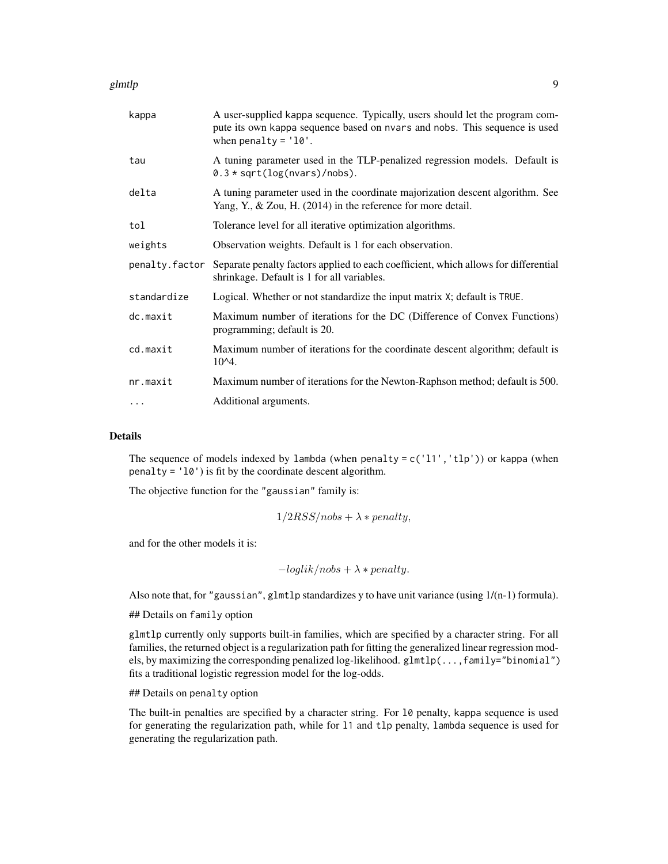#### glmtlp **9**

| kappa          | A user-supplied kappa sequence. Typically, users should let the program com-<br>pute its own kappa sequence based on nvars and nobs. This sequence is used<br>when penalty = $'10'$ . |
|----------------|---------------------------------------------------------------------------------------------------------------------------------------------------------------------------------------|
| tau            | A tuning parameter used in the TLP-penalized regression models. Default is<br>$0.3 * sqrt(log(nvars)/nobs)$ .                                                                         |
| delta          | A tuning parameter used in the coordinate majorization descent algorithm. See<br>Yang, Y., & Zou, H. $(2014)$ in the reference for more detail.                                       |
| tol            | Tolerance level for all iterative optimization algorithms.                                                                                                                            |
| weights        | Observation weights. Default is 1 for each observation.                                                                                                                               |
| penalty.factor | Separate penalty factors applied to each coefficient, which allows for differential<br>shrinkage. Default is 1 for all variables.                                                     |
| standardize    | Logical. Whether or not standardize the input matrix X; default is TRUE.                                                                                                              |
| dc.maxit       | Maximum number of iterations for the DC (Difference of Convex Functions)<br>programming; default is 20.                                                                               |
| cd.maxit       | Maximum number of iterations for the coordinate descent algorithm; default is<br>$10^{4}$ .                                                                                           |
| nr.maxit       | Maximum number of iterations for the Newton-Raphson method; default is 500.                                                                                                           |
| $\cdots$       | Additional arguments.                                                                                                                                                                 |

# Details

The sequence of models indexed by lambda (when penalty =  $c('11', 'tlp'))$  or kappa (when penalty = 'l0') is fit by the coordinate descent algorithm.

The objective function for the "gaussian" family is:

$$
1/2RSS/nobs + \lambda * penalty,
$$

and for the other models it is:

$$
-loglik/nobs + \lambda * penalty.
$$

Also note that, for "gaussian", glmtlp standardizes y to have unit variance (using  $1/(n-1)$  formula).

## Details on family option

glmtlp currently only supports built-in families, which are specified by a character string. For all families, the returned object is a regularization path for fitting the generalized linear regression models, by maximizing the corresponding penalized log-likelihood. glmtlp(...,family="binomial") fits a traditional logistic regression model for the log-odds.

## Details on penalty option

The built-in penalties are specified by a character string. For l0 penalty, kappa sequence is used for generating the regularization path, while for l1 and tlp penalty, lambda sequence is used for generating the regularization path.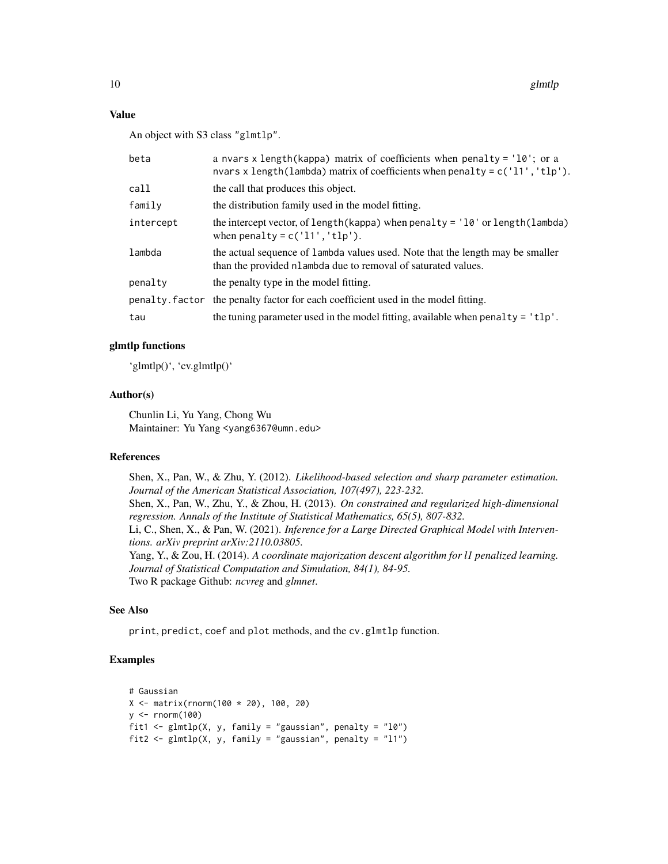#### Value

An object with S3 class "glmtlp".

| beta      | a nvars x length (kappa) matrix of coefficients when penalty = $'10'$ ; or a<br>nvars x length(lambda) matrix of coefficients when penalty = $c('11', 'tlp')$ . |
|-----------|-----------------------------------------------------------------------------------------------------------------------------------------------------------------|
| call      | the call that produces this object.                                                                                                                             |
| family    | the distribution family used in the model fitting.                                                                                                              |
| intercept | the intercept vector, of length (kappa) when penalty = $'10'$ or length (lambda)<br>when penalty = $c('11', 'tlp').$                                            |
| lambda    | the actual sequence of lambda values used. Note that the length may be smaller<br>than the provided nlambda due to removal of saturated values.                 |
| penalty   | the penalty type in the model fitting.                                                                                                                          |
|           | penalty factor the penalty factor for each coefficient used in the model fitting.                                                                               |
| tau       | the tuning parameter used in the model fitting, available when penalty $=$ $'tlp'.$                                                                             |

#### glmtlp functions

'glmtlp()', 'cv.glmtlp()'

#### Author(s)

Chunlin Li, Yu Yang, Chong Wu Maintainer: Yu Yang <yang6367@umn.edu>

#### References

Shen, X., Pan, W., & Zhu, Y. (2012). *Likelihood-based selection and sharp parameter estimation. Journal of the American Statistical Association, 107(497), 223-232.* Shen, X., Pan, W., Zhu, Y., & Zhou, H. (2013). *On constrained and regularized high-dimensional regression. Annals of the Institute of Statistical Mathematics, 65(5), 807-832.* Li, C., Shen, X., & Pan, W. (2021). *Inference for a Large Directed Graphical Model with Interventions. arXiv preprint arXiv:2110.03805.* Yang, Y., & Zou, H. (2014). *A coordinate majorization descent algorithm for l1 penalized learning. Journal of Statistical Computation and Simulation, 84(1), 84-95.* Two R package Github: *ncvreg* and *glmnet*.

#### See Also

print, predict, coef and plot methods, and the cv.glmtlp function.

```
# Gaussian
X <- matrix(rnorm(100 * 20), 100, 20)
y <- rnorm(100)
fit1 <- glmtlp(X, y, family = "gaussian", penalty = "l0")fit2 <- glmtlp(X, y, family = "gaussian", penalty = "11")
```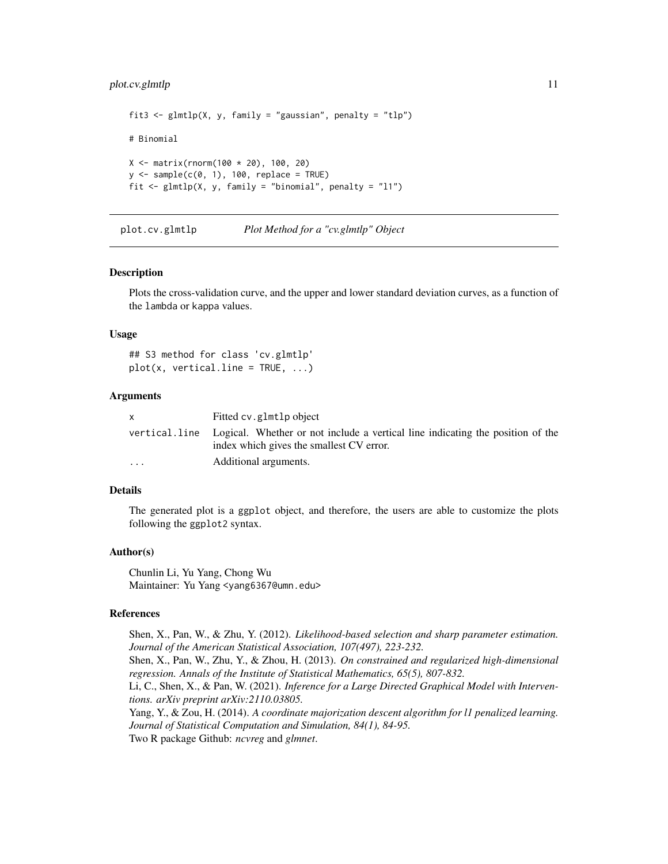#### <span id="page-10-0"></span>plot.cv.glmtlp 11

```
fit3 <- glmtlp(X, y, family = "gaussian", penalty = "tlp")# Binomial
X <- matrix(rnorm(100 * 20), 100, 20)
y \le - sample(c(0, 1), 100, replace = TRUE)
fit \le glmtlp(X, y, family = "binomial", penalty = "l1")
```
plot.cv.glmtlp *Plot Method for a "cv.glmtlp" Object*

#### **Description**

Plots the cross-validation curve, and the upper and lower standard deviation curves, as a function of the lambda or kappa values.

#### Usage

```
## S3 method for class 'cv.glmtlp'
plot(x, vertical-line = TRUE, ...)
```
#### Arguments

|                         | Fitted cv.glmtlp object                                                                      |
|-------------------------|----------------------------------------------------------------------------------------------|
|                         | vertical.line Logical. Whether or not include a vertical line indicating the position of the |
|                         | index which gives the smallest CV error.                                                     |
| $\cdot$ $\cdot$ $\cdot$ | Additional arguments.                                                                        |

#### Details

The generated plot is a ggplot object, and therefore, the users are able to customize the plots following the ggplot2 syntax.

#### Author(s)

Chunlin Li, Yu Yang, Chong Wu Maintainer: Yu Yang <yang6367@umn.edu>

#### References

Shen, X., Pan, W., & Zhu, Y. (2012). *Likelihood-based selection and sharp parameter estimation. Journal of the American Statistical Association, 107(497), 223-232.* Shen, X., Pan, W., Zhu, Y., & Zhou, H. (2013). *On constrained and regularized high-dimensional regression. Annals of the Institute of Statistical Mathematics, 65(5), 807-832.* Li, C., Shen, X., & Pan, W. (2021). *Inference for a Large Directed Graphical Model with Interventions. arXiv preprint arXiv:2110.03805.* Yang, Y., & Zou, H. (2014). *A coordinate majorization descent algorithm for l1 penalized learning. Journal of Statistical Computation and Simulation, 84(1), 84-95.* Two R package Github: *ncvreg* and *glmnet*.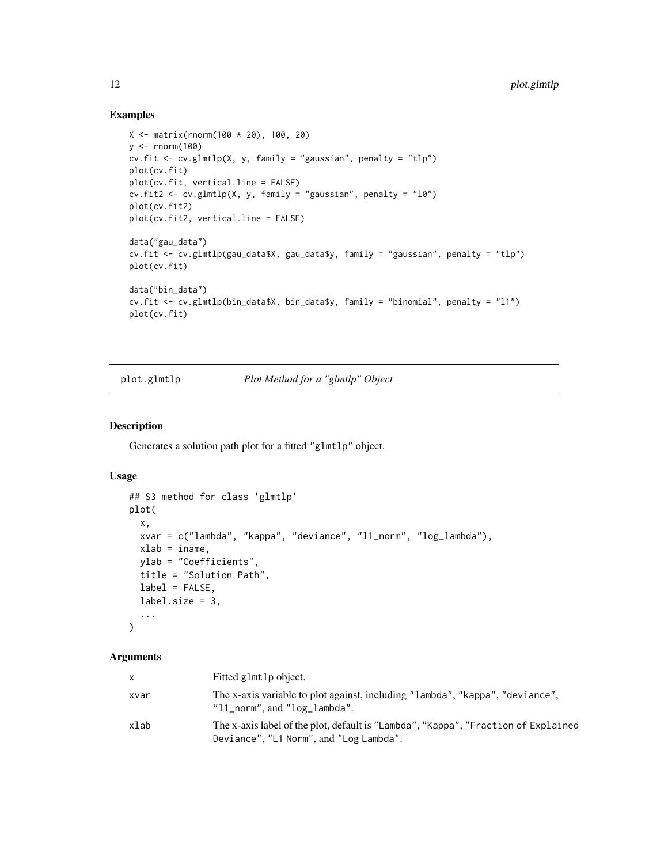#### Examples

```
X \le - matrix(rnorm(100 * 20), 100, 20)
y \le - rnorm(100)cv.fit <- cv.glmtlp(X, y, family = "gaussian", penalty = "tlp")
plot(cv.fit)
plot(cv.fit, vertical.line = FALSE)
cv.fit2 <- cv.glmtlp(X, y, family = "gaussian", penalty = "l0")
plot(cv.fit2)
plot(cv.fit2, vertical.line = FALSE)
data("gau_data")
cv.fit <- cv.glmtlp(gau_data$X, gau_data$y, family = "gaussian", penalty = "tlp")
plot(cv.fit)
data("bin_data")
cv.fit <- cv.glmtlp(bin_data$X, bin_data$y, family = "binomial", penalty = "l1")
plot(cv.fit)
```
plot.glmtlp *Plot Method for a "glmtlp" Object*

#### Description

Generates a solution path plot for a fitted "glmtlp" object.

#### Usage

```
## S3 method for class 'glmtlp'
plot(
  x,
 xvar = c("lambda", "kappa", "deviance", "l1_norm", "log_lambda"),
 xlab = iname,
 ylab = "Coefficients",
 title = "Solution Path",
 label = FALSE,
 label.size = 3,
  ...
\mathcal{L}
```

| $\mathsf{x}$ | Fitted glmtlp object.                                                                                                         |
|--------------|-------------------------------------------------------------------------------------------------------------------------------|
| xvar         | The x-axis variable to plot against, including "lambda", "kappa", "deviance",<br>$"11$ norm", and $"log$ lambda".             |
| xlab         | The x-axis label of the plot, default is "Lambda", "Kappa", "Fraction of Explained<br>Deviance", "L1 Norm", and "Log Lambda". |

<span id="page-11-0"></span>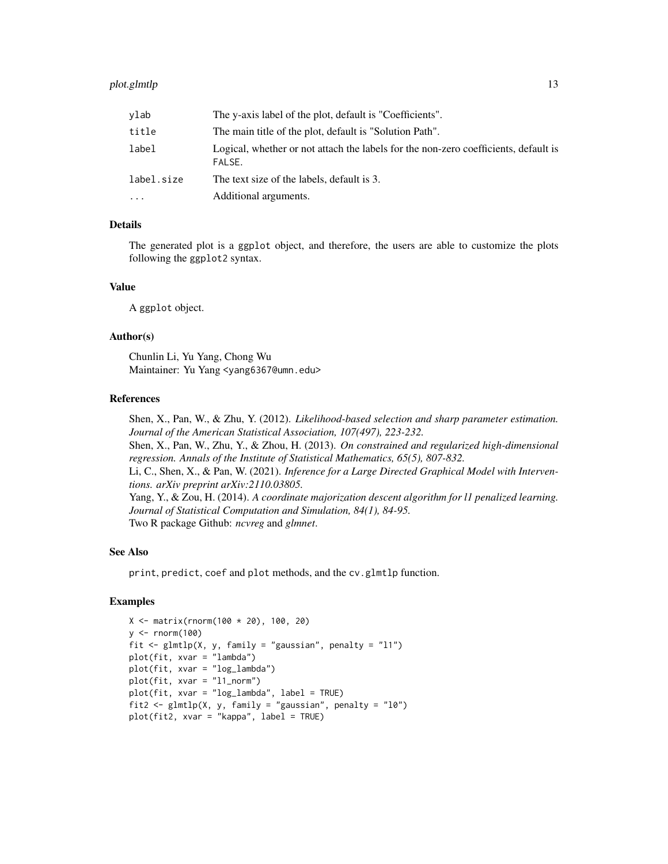| vlab       | The y-axis label of the plot, default is "Coefficients".                                      |
|------------|-----------------------------------------------------------------------------------------------|
| title      | The main title of the plot, default is "Solution Path".                                       |
| label      | Logical, whether or not attach the labels for the non-zero coefficients, default is<br>FALSE. |
| label.size | The text size of the labels, default is 3.                                                    |
| $\cdots$   | Additional arguments.                                                                         |

#### Details

The generated plot is a ggplot object, and therefore, the users are able to customize the plots following the ggplot2 syntax.

## Value

A ggplot object.

#### Author(s)

Chunlin Li, Yu Yang, Chong Wu Maintainer: Yu Yang <yang6367@umn.edu>

#### References

Shen, X., Pan, W., & Zhu, Y. (2012). *Likelihood-based selection and sharp parameter estimation. Journal of the American Statistical Association, 107(497), 223-232.* Shen, X., Pan, W., Zhu, Y., & Zhou, H. (2013). *On constrained and regularized high-dimensional regression. Annals of the Institute of Statistical Mathematics, 65(5), 807-832.* Li, C., Shen, X., & Pan, W. (2021). *Inference for a Large Directed Graphical Model with Interventions. arXiv preprint arXiv:2110.03805.* Yang, Y., & Zou, H. (2014). *A coordinate majorization descent algorithm for l1 penalized learning. Journal of Statistical Computation and Simulation, 84(1), 84-95.*

Two R package Github: *ncvreg* and *glmnet*.

#### See Also

print, predict, coef and plot methods, and the cv.glmtlp function.

```
X <- matrix(rnorm(100 * 20), 100, 20)
y \le - rnorm(100)fit \le glmtlp(X, y, family = "gaussian", penalty = "l1")
plot(fit, xvar = "lambda")
plot(fit, xvar = "log_lambda")
plot(fit, xvar = "l1_norm")
plot(fit, xvar = "log_lambda", label = TRUE)
fit2 <- glmtlp(X, y, family = "gaussian", penalty = "l0")plot(fit2, xvar = "kappa", label = TRUE)
```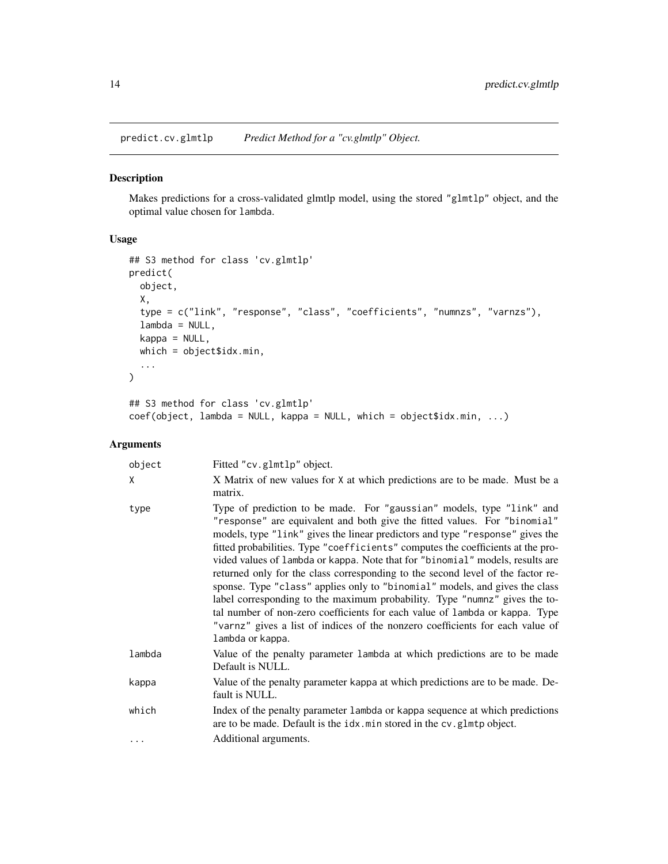<span id="page-13-0"></span>predict.cv.glmtlp *Predict Method for a "cv.glmtlp" Object.*

### Description

Makes predictions for a cross-validated glmtlp model, using the stored "glmtlp" object, and the optimal value chosen for lambda.

# Usage

```
## S3 method for class 'cv.glmtlp'
predict(
 object,
 X,
  type = c("link", "response", "class", "coefficients", "numnzs", "varnzs"),
  lambda = NULL,kappa = NULL,
 which = object$idx.min,
  ...
\mathcal{L}## S3 method for class 'cv.glmtlp'
coef(object, lambda = NULL, kappa = NULL, which = object$idx.min, ...)
```

| object   | Fitted "cv.glmtlp" object.                                                                                                                                                                                                                                                                                                                                                                                                                                                                                                                                                                                                                                                                                                                                                                                                                  |
|----------|---------------------------------------------------------------------------------------------------------------------------------------------------------------------------------------------------------------------------------------------------------------------------------------------------------------------------------------------------------------------------------------------------------------------------------------------------------------------------------------------------------------------------------------------------------------------------------------------------------------------------------------------------------------------------------------------------------------------------------------------------------------------------------------------------------------------------------------------|
| X        | X Matrix of new values for X at which predictions are to be made. Must be a<br>matrix.                                                                                                                                                                                                                                                                                                                                                                                                                                                                                                                                                                                                                                                                                                                                                      |
| type     | Type of prediction to be made. For "gaussian" models, type "link" and<br>"response" are equivalent and both give the fitted values. For "binomial"<br>models, type "link" gives the linear predictors and type "response" gives the<br>fitted probabilities. Type "coefficients" computes the coefficients at the pro-<br>vided values of lambda or kappa. Note that for "binomial" models, results are<br>returned only for the class corresponding to the second level of the factor re-<br>sponse. Type "class" applies only to "binomial" models, and gives the class<br>label corresponding to the maximum probability. Type "numnz" gives the to-<br>tal number of non-zero coefficients for each value of lambda or kappa. Type<br>"varnz" gives a list of indices of the nonzero coefficients for each value of<br>lambda or kappa. |
| lambda   | Value of the penalty parameter lambda at which predictions are to be made<br>Default is NULL.                                                                                                                                                                                                                                                                                                                                                                                                                                                                                                                                                                                                                                                                                                                                               |
| kappa    | Value of the penalty parameter kappa at which predictions are to be made. De-<br>fault is NULL.                                                                                                                                                                                                                                                                                                                                                                                                                                                                                                                                                                                                                                                                                                                                             |
| which    | Index of the penalty parameter lambda or kappa sequence at which predictions<br>are to be made. Default is the idx.min stored in the cv.glmtp object.                                                                                                                                                                                                                                                                                                                                                                                                                                                                                                                                                                                                                                                                                       |
| $\cdots$ | Additional arguments.                                                                                                                                                                                                                                                                                                                                                                                                                                                                                                                                                                                                                                                                                                                                                                                                                       |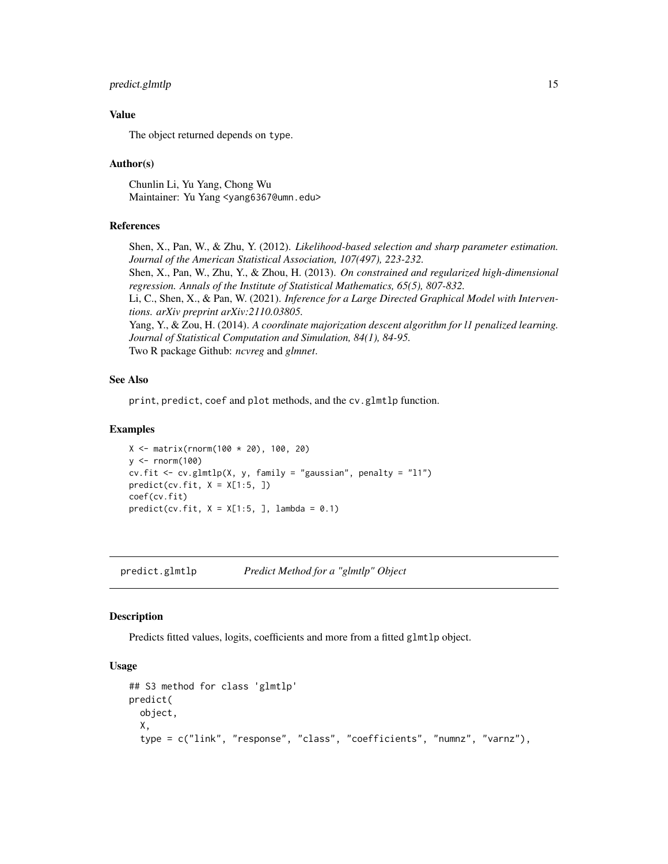# <span id="page-14-0"></span>predict.glmtlp 15

#### Value

The object returned depends on type.

#### Author(s)

Chunlin Li, Yu Yang, Chong Wu Maintainer: Yu Yang <yang6367@umn.edu>

#### References

Shen, X., Pan, W., & Zhu, Y. (2012). *Likelihood-based selection and sharp parameter estimation. Journal of the American Statistical Association, 107(497), 223-232.* Shen, X., Pan, W., Zhu, Y., & Zhou, H. (2013). *On constrained and regularized high-dimensional regression. Annals of the Institute of Statistical Mathematics, 65(5), 807-832.* Li, C., Shen, X., & Pan, W. (2021). *Inference for a Large Directed Graphical Model with Interventions. arXiv preprint arXiv:2110.03805.* Yang, Y., & Zou, H. (2014). *A coordinate majorization descent algorithm for l1 penalized learning. Journal of Statistical Computation and Simulation, 84(1), 84-95.* Two R package Github: *ncvreg* and *glmnet*.

#### See Also

print, predict, coef and plot methods, and the cv.glmtlp function.

#### Examples

```
X <- matrix(rnorm(100 * 20), 100, 20)
y \le - rnorm(100)
cv.fit <- cv.glmtlp(X, y, family = "gaussian", penalty = "l1")
predict(cv.fit, X = X[1:5, ])coef(cv.fit)
predict(cv.fit, X = X[1:5, ], lambda = 0.1)
```
predict.glmtlp *Predict Method for a "glmtlp" Object*

#### **Description**

Predicts fitted values, logits, coefficients and more from a fitted glmtlp object.

#### Usage

```
## S3 method for class 'glmtlp'
predict(
 object,
 X,
  type = c("link", "response", "class", "coefficients", "numnz", "varnz"),
```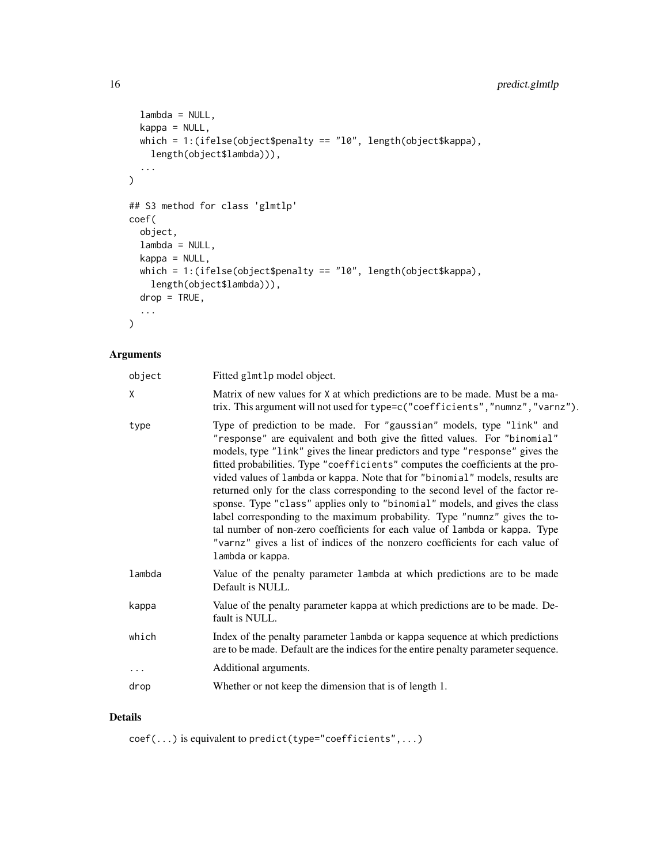```
lambda = NULL,kappa = NULL,
 which = 1:(ifelse(object$penalty == "l0", length(object$kappa),
    length(object$lambda))),
  ...
\mathcal{L}## S3 method for class 'glmtlp'
coef(
 object,
 lambda = NULL,
 kappa = NULL,
 which = 1:(ifelse(object$penalty == "l0", length(object$kappa),
   length(object$lambda))),
 drop = TRUE,...
\mathcal{L}
```
# Arguments

| object   | Fitted glmtlp model object.                                                                                                                                                                                                                                                                                                                                                                                                                                                                                                                                                                                                                                                                                                                                                                                                                 |
|----------|---------------------------------------------------------------------------------------------------------------------------------------------------------------------------------------------------------------------------------------------------------------------------------------------------------------------------------------------------------------------------------------------------------------------------------------------------------------------------------------------------------------------------------------------------------------------------------------------------------------------------------------------------------------------------------------------------------------------------------------------------------------------------------------------------------------------------------------------|
| X        | Matrix of new values for X at which predictions are to be made. Must be a ma-<br>trix. This argument will not used for type=c("coefficients", "numnz", "varnz").                                                                                                                                                                                                                                                                                                                                                                                                                                                                                                                                                                                                                                                                            |
| type     | Type of prediction to be made. For "gaussian" models, type "link" and<br>"response" are equivalent and both give the fitted values. For "binomial"<br>models, type "link" gives the linear predictors and type "response" gives the<br>fitted probabilities. Type "coefficients" computes the coefficients at the pro-<br>vided values of lambda or kappa. Note that for "binomial" models, results are<br>returned only for the class corresponding to the second level of the factor re-<br>sponse. Type "class" applies only to "binomial" models, and gives the class<br>label corresponding to the maximum probability. Type "numnz" gives the to-<br>tal number of non-zero coefficients for each value of lambda or kappa. Type<br>"varnz" gives a list of indices of the nonzero coefficients for each value of<br>lambda or kappa. |
| lambda   | Value of the penalty parameter lambda at which predictions are to be made<br>Default is NULL.                                                                                                                                                                                                                                                                                                                                                                                                                                                                                                                                                                                                                                                                                                                                               |
| kappa    | Value of the penalty parameter kappa at which predictions are to be made. De-<br>fault is NULL.                                                                                                                                                                                                                                                                                                                                                                                                                                                                                                                                                                                                                                                                                                                                             |
| which    | Index of the penalty parameter 1 ambda or kappa sequence at which predictions<br>are to be made. Default are the indices for the entire penalty parameter sequence.                                                                                                                                                                                                                                                                                                                                                                                                                                                                                                                                                                                                                                                                         |
| $\cdots$ | Additional arguments.                                                                                                                                                                                                                                                                                                                                                                                                                                                                                                                                                                                                                                                                                                                                                                                                                       |
| drop     | Whether or not keep the dimension that is of length 1.                                                                                                                                                                                                                                                                                                                                                                                                                                                                                                                                                                                                                                                                                                                                                                                      |
|          |                                                                                                                                                                                                                                                                                                                                                                                                                                                                                                                                                                                                                                                                                                                                                                                                                                             |

# Details

coef(...) is equivalent to predict(type="coefficients",...)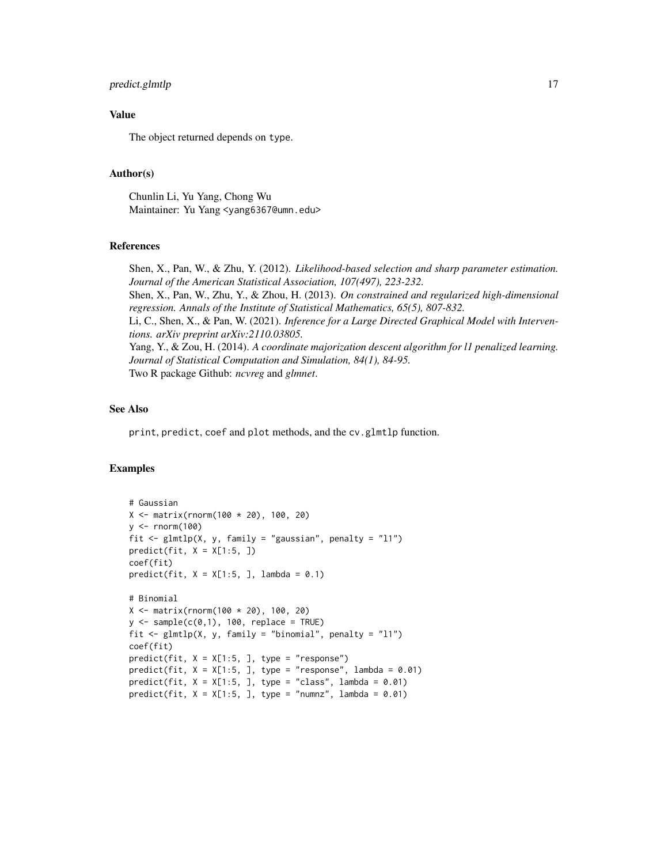### predict.glmtlp 17

#### Value

The object returned depends on type.

#### Author(s)

Chunlin Li, Yu Yang, Chong Wu Maintainer: Yu Yang <yang6367@umn.edu>

## References

Shen, X., Pan, W., & Zhu, Y. (2012). *Likelihood-based selection and sharp parameter estimation. Journal of the American Statistical Association, 107(497), 223-232.* Shen, X., Pan, W., Zhu, Y., & Zhou, H. (2013). *On constrained and regularized high-dimensional regression. Annals of the Institute of Statistical Mathematics, 65(5), 807-832.* Li, C., Shen, X., & Pan, W. (2021). *Inference for a Large Directed Graphical Model with Interventions. arXiv preprint arXiv:2110.03805.* Yang, Y., & Zou, H. (2014). *A coordinate majorization descent algorithm for l1 penalized learning. Journal of Statistical Computation and Simulation, 84(1), 84-95.* Two R package Github: *ncvreg* and *glmnet*.

# See Also

print, predict, coef and plot methods, and the cv.glmtlp function.

```
# Gaussian
X <- matrix(rnorm(100 * 20), 100, 20)
y \le - rnorm(100)fit <- glmtlp(X, y, family = "gaussian", penalty = "l1")
predict(fit, X = X[1:5, ])coef(fit)
predict(fit, X = X[1:5, 1], lambda = 0.1)
# Binomial
X \le - matrix(rnorm(100 * 20), 100, 20)
y \le - sample(c(0,1), 100, replace = TRUE)
fit \le glmtlp(X, y, family = "binomial", penalty = "l1")
coef(fit)
predict(fit, X = X[1:5, ], type = "response")
predict(fit, X = X[1:5, ], type = "response", lambda = 0.01)
predict(fit, X = X[1:5, ], type = "class", lambda = 0.01)
predict(fit, X = X[1:5, ], type = "numnz", lambda = 0.01)
```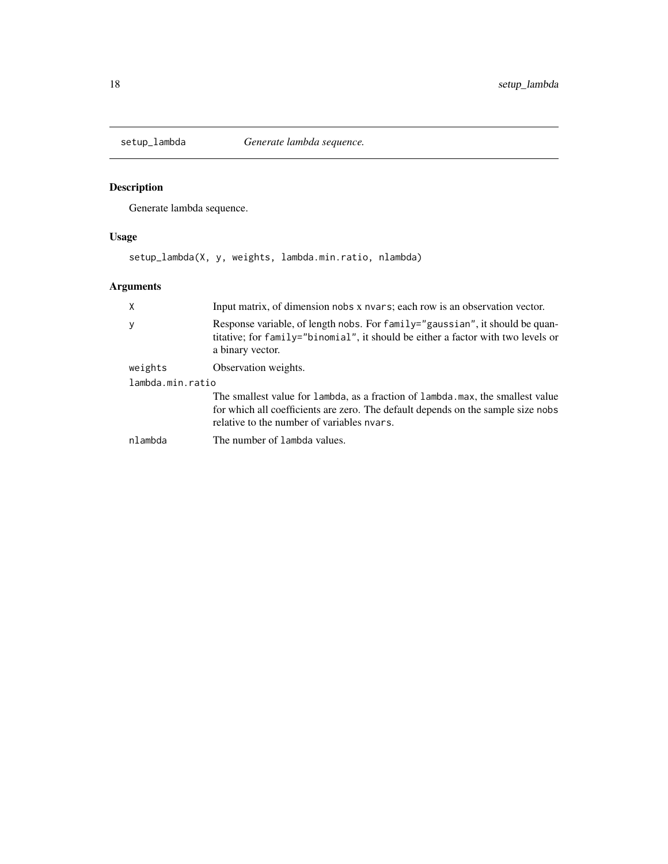<span id="page-17-0"></span>

# Description

Generate lambda sequence.

# Usage

setup\_lambda(X, y, weights, lambda.min.ratio, nlambda)

| X                | Input matrix, of dimension nobs x nyars; each row is an observation vector.                                                                                                                                      |  |
|------------------|------------------------------------------------------------------------------------------------------------------------------------------------------------------------------------------------------------------|--|
| y                | Response variable, of length nobs. For family="gaussian", it should be quan-<br>titative; for family="binomial", it should be either a factor with two levels or<br>a binary vector.                             |  |
| weights          | Observation weights.                                                                                                                                                                                             |  |
| lambda.min.ratio |                                                                                                                                                                                                                  |  |
|                  | The smallest value for lambda, as a fraction of lambda.max, the smallest value<br>for which all coefficients are zero. The default depends on the sample size nobs<br>relative to the number of variables nyars. |  |
| nlambda          | The number of lambda values.                                                                                                                                                                                     |  |